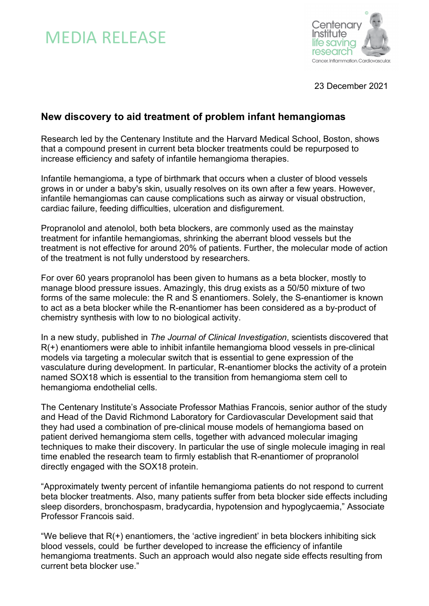



23 December 2021

# **New discovery to aid treatment of problem infant hemangiomas**

Research led by the Centenary Institute and the Harvard Medical School, Boston, shows that a compound present in current beta blocker treatments could be repurposed to increase efficiency and safety of infantile hemangioma therapies.

Infantile hemangioma, a type of birthmark that occurs when a cluster of blood vessels grows in or under a baby's skin, usually resolves on its own after a few years. However, infantile hemangiomas can cause complications such as airway or visual obstruction, cardiac failure, feeding difficulties, ulceration and disfigurement.

Propranolol and atenolol, both beta blockers, are commonly used as the mainstay treatment for infantile hemangiomas, shrinking the aberrant blood vessels but the treatment is not effective for around 20% of patients. Further, the molecular mode of action of the treatment is not fully understood by researchers.

For over 60 years propranolol has been given to humans as a beta blocker, mostly to manage blood pressure issues. Amazingly, this drug exists as a 50/50 mixture of two forms of the same molecule: the R and S enantiomers. Solely, the S-enantiomer is known to act as a beta blocker while the R-enantiomer has been considered as a by-product of chemistry synthesis with low to no biological activity.

In a new study, published in *The Journal of Clinical Investigation*, scientists discovered that R(+) enantiomers were able to inhibit infantile hemangioma blood vessels in pre-clinical models via targeting a molecular switch that is essential to gene expression of the vasculature during development. In particular, R-enantiomer blocks the activity of a protein named SOX18 which is essential to the transition from hemangioma stem cell to hemangioma endothelial cells.

The Centenary Institute's Associate Professor Mathias Francois, senior author of the study and Head of the David Richmond Laboratory for Cardiovascular Development said that they had used a combination of pre-clinical mouse models of hemangioma based on patient derived hemangioma stem cells, together with advanced molecular imaging techniques to make their discovery. In particular the use of single molecule imaging in real time enabled the research team to firmly establish that R-enantiomer of propranolol directly engaged with the SOX18 protein.

"Approximately twenty percent of infantile hemangioma patients do not respond to current beta blocker treatments. Also, many patients suffer from beta blocker side effects including sleep disorders, bronchospasm, bradycardia, hypotension and hypoglycaemia," Associate Professor Francois said.

"We believe that  $R(+)$  enantiomers, the 'active ingredient' in beta blockers inhibiting sick blood vessels, could be further developed to increase the efficiency of infantile hemangioma treatments. Such an approach would also negate side effects resulting from current beta blocker use."